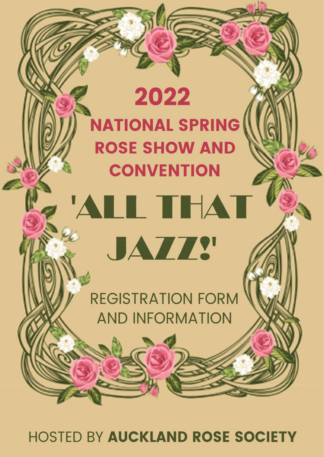# 2022 **NATIONAL SPRING ROSE SHOW AND CONVENTION**

'ALL THAT

# **The Community of the Community of the Community** REGISTRATION FORM<br>AND INFORMATION

**HOSTED BY AUCKLAND ROSE SOCIETY**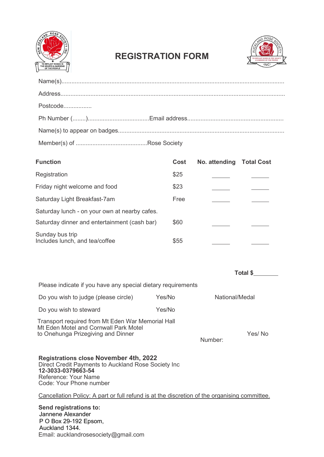

# REGISTRATION FORM



| Postcode |  |
|----------|--|
|          |  |
|          |  |
|          |  |

| <b>Function</b>                                   | Cost | No. attending Total Cost |  |
|---------------------------------------------------|------|--------------------------|--|
| Registration                                      | \$25 |                          |  |
| Friday night welcome and food                     | \$23 |                          |  |
| Saturday Light Breakfast-7am                      | Free |                          |  |
| Saturday lunch - on your own at nearby cafes.     |      |                          |  |
| Saturday dinner and entertainment (cash bar)      | \$60 |                          |  |
| Sunday bus trip<br>Includes lunch, and tea/coffee | \$55 |                          |  |

|                                                                                                                                                                               |        | Total \$       |        |
|-------------------------------------------------------------------------------------------------------------------------------------------------------------------------------|--------|----------------|--------|
| Please indicate if you have any special dietary requirements                                                                                                                  |        |                |        |
| Do you wish to judge (please circle)                                                                                                                                          | Yes/No | National/Medal |        |
| Do you wish to steward                                                                                                                                                        | Yes/No |                |        |
| Transport required from Mt Eden War Memorial Hall<br>Mt Eden Motel and Cornwall Park Motel<br>to Onehunga Prizegiving and Dinner                                              |        | Number:        | Yes/No |
| <b>Registrations close November 4th, 2022</b><br>Direct Credit Payments to Auckland Rose Society Inc<br>12-3033-0379663-54<br>Reference: Your Name<br>Code: Your Phone number |        |                |        |

Cancellation Policy: A part or full refund is at the discretion of the organising committee.

Send registrations to: Jannene Alexander P O Box 29-192 Epsom, Auckland 1344. Email: aucklandrosesociety@gmail.com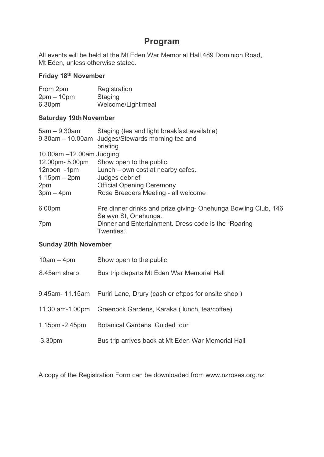# Program

All events will be held at the Mt Eden War Memorial Hall,489 Dominion Road, Mt Eden, unless otherwise stated.

### Friday 18th November

| From 2pm     | Registration       |
|--------------|--------------------|
| $2pm - 10pm$ | Staging            |
| 6.30pm       | Welcome/Light meal |

#### Saturday 19th November

| $5am - 9.30am$              | Staging (tea and light breakfast available)                                            |
|-----------------------------|----------------------------------------------------------------------------------------|
|                             | 9.30am – 10.00am Judges/Stewards morning tea and                                       |
|                             | briefing                                                                               |
| 10.00am $-12.00$ am Judging |                                                                                        |
| 12.00pm- 5.00pm             | Show open to the public                                                                |
| 12noon -1pm                 | Lunch – own cost at nearby cafes.                                                      |
| $1.15$ pm $-$ 2pm           | Judges debrief                                                                         |
| 2pm                         | <b>Official Opening Ceremony</b>                                                       |
| $3pm-4pm$                   | Rose Breeders Meeting - all welcome                                                    |
| 6.00pm                      | Pre dinner drinks and prize giving- Onehunga Bowling Club, 146<br>Selwyn St, Onehunga. |
| 7pm                         | Dinner and Entertainment. Dress code is the "Roaring"<br>Twenties".                    |

#### Sunday 20th November

| $10am - 4pm$      | Show open to the public                             |
|-------------------|-----------------------------------------------------|
| 8.45am sharp      | Bus trip departs Mt Eden War Memorial Hall          |
|                   |                                                     |
| 9.45am- 11.15am   | Puriri Lane, Drury (cash or eftpos for onsite shop) |
| 11.30 am-1.00pm   | Greenock Gardens, Karaka (Iunch, tea/coffee)        |
| $1.15pm - 2.45pm$ | <b>Botanical Gardens Guided tour</b>                |
| 3.30pm            | Bus trip arrives back at Mt Eden War Memorial Hall  |

A copy of the Registration Form can be downloaded from www.nzroses.org.nz